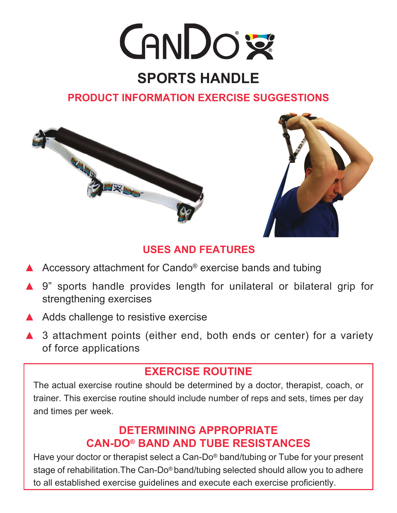# **CANDO &**

## **SPORTS HANDLE**

**PRODUCT INFORMATION EXERCISE SUGGESTIONS**





#### **USES AND FEATURES**

- ▲ Accessory attachment for Cando<sup>®</sup> exercise bands and tubing
- ▲ 9" sports handle provides length for unilateral or bilateral grip for strengthening exercises
- ▲ Adds challenge to resistive exercise
- ▲ 3 attachment points (either end, both ends or center) for a variety of force applications

#### **EXERCISE ROUTINE**

The actual exercise routine should be determined by a doctor, therapist, coach, or trainer. This exercise routine should include number of reps and sets, times per day and times per week.

#### **DETERMINING APPROPRIATE CAN-DO® BAND AND TUBE RESISTANCES**

Have your doctor or therapist select a Can-Do® band/tubing or Tube for your present stage of rehabilitation.The Can-Do® band/tubing selected should allow you to adhere to all established exercise guidelines and execute each exercise proficiently.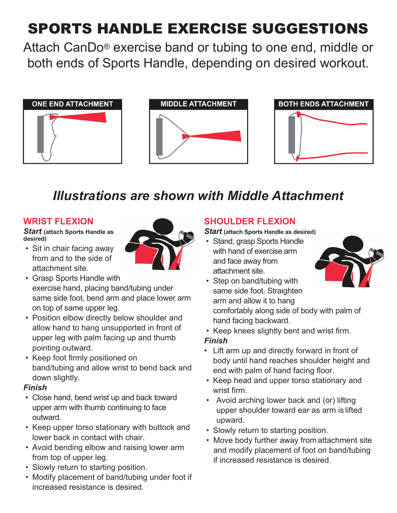# SPORTS HANDLE EXERCISE SUGGESTIONS

Attach CanDo® exercise band or tubing to one end, middle or both ends of Sports Handle, depending on desired workout.







### *Illustrations are shown with Middle Attachment*

#### **WRIST FLEXION**

*Start* **(attach Sports Handle as desired)**

 • Sit in chair facing away from and to the side of attachment site.



- Position elbow directly below shoulder and allow hand to hang unsupported in front of upper leg with palm facing up and thumb pointing outward.
- Keep foot firmly positioned on band/tubing and allow wrist to bend back and down slightly.

#### *Finish*

- Close hand, bend wrist up and back toward upper arm with thumb continuing to face outward.
- Keep upper torso stationary with buttock and lower back in contact with chair.
- Avoid bending elbow and raising lower arm from top of upper leg.
- Slowly return to starting position.
- Modify placement of band/tubing under foot if increased resistance is desired.

#### **SHOULDER FLEXION**

*Start* **(attach Sports Handle as desired)** 

 • Stand, grasp Sports Handle with hand of exercise arm and face away from attachment site.



 • Step on band/tubing with same side foot. Straighten arm and allow it to hang comfortably along side of body with palm of hand facing backward.

• Keep knees slightly bent and wrist firm.

#### *Finish*

- Lift arm up and directly forward in front of body until hand reaches shoulder height and end with palm of hand facing floor.
- Keep head and upper torso stationary and wrist firm.
- Avoid arching lower back and (or) lifting upper shoulder toward ear as arm is lifted upward.
- Slowly return to starting position.
- Move body further away from attachment site and modify placement of foot on band/tubing if increased resistance is desired.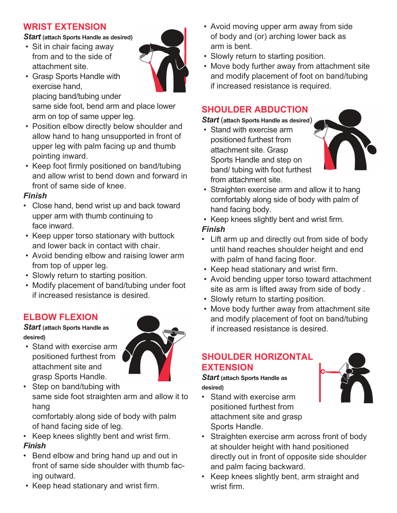#### **WRIST EXTENSION**

*Start* **(attach Sports Handle as desired)** 

- Sit in chair facing away from and to the side of attachment site.
- Grasp Sports Handle with exercise hand,



placing band/tubing under

same side foot, bend arm and place lower arm on top of same upper leg.

- Position elbow directly below shoulder and allow hand to hang unsupported in front of upper leg with palm facing up and thumb pointing inward.
- Keep foot firmly positioned on band/tubing and allow wrist to bend down and forward in front of same side of knee.

#### *Finish*

- Close hand, bend wrist up and back toward upper arm with thumb continuing to face inward.
- Keep upper torso stationary with buttock and lower back in contact with chair.
- Avoid bending elbow and raising lower arm from top of upper leg.
- Slowly return to starting position.
- Modify placement of band/tubing under foot if increased resistance is desired.

#### **ELBOW FLEXION**

#### *Start* **(attach Sports Handle as desired)**

 • Stand with exercise arm positioned furthest from attachment site and grasp Sports Handle.



• Step on band/tubing with same side foot straighten arm and allow it to hang

comfortably along side of body with palm of hand facing side of leg.

- Keep knees slightly bent and wrist firm. *Finish*
- Bend elbow and bring hand up and out in front of same side shoulder with thumb facing outward.
- Keep head stationary and wrist firm.
- Avoid moving upper arm away from side of body and (or) arching lower back as arm is bent.
- Slowly return to starting position.
- Move body further away from attachment site and modify placement of foot on band/tubing if increased resistance is required.

#### **SHOULDER ABDUCTION**

#### *Start* (**attach Sports Handle as desired**)

 • Stand with exercise arm positioned furthest from attachment site. Grasp Sports Handle and step on band/ tubing with foot furthest from attachment site.



- Straighten exercise arm and allow it to hang comfortably along side of body with palm of hand facing body.
- Keep knees slightly bent and wrist firm.

#### *Finish*

- Lift arm up and directly out from side of body until hand reaches shoulder height and end with palm of hand facing floor.
- Keep head stationary and wrist firm.
- Avoid bending upper torso toward attachment site as arm is lifted away from side of body .
- Slowly return to starting position.
- Move body further away from attachment site and modify placement of foot on band/tubing if increased resistance is desired.

#### **SHOULDER HORIZONTAL EXTENSION**

*Start* **(attach Sports Handle as desired)**

• Stand with exercise arm positioned furthest from attachment site and grasp Sports Handle.



- Straighten exercise arm across front of body at shoulder height with hand positioned directly out in front of opposite side shoulder and palm facing backward.
- Keep knees slightly bent, arm straight and wrist firm.